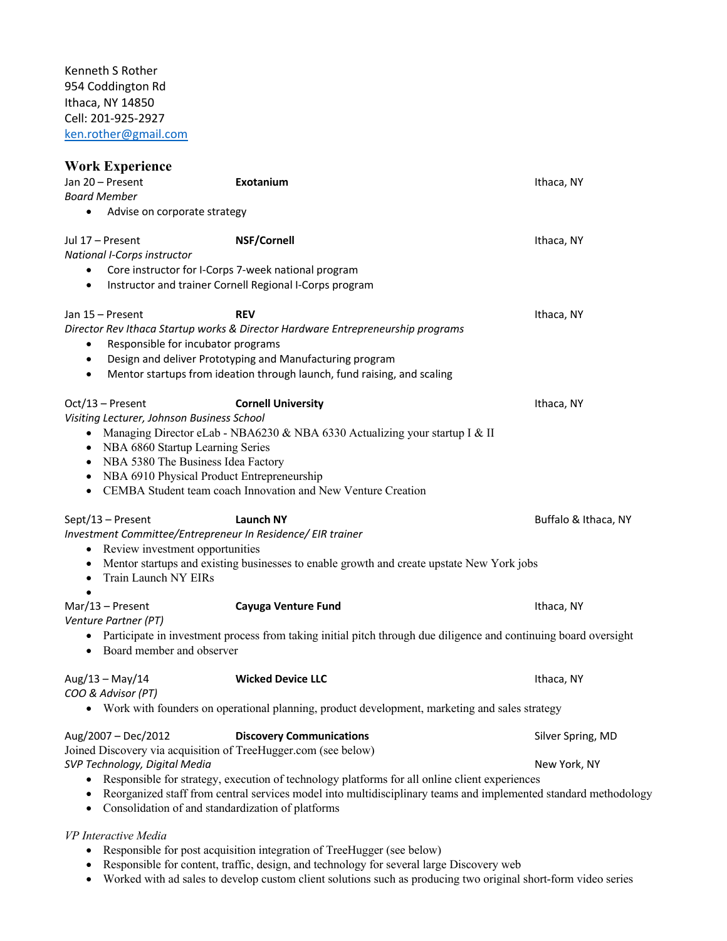Kenneth S Rother 954 Coddington Rd Ithaca, NY 14850 Cell: 201-925-2927 [ken.rother@gmail.com](mailto:ken.rother@gmail.com)

| <b>Work Experience</b><br>Jan 20 - Present<br><b>Board Member</b>                                                                        | Exotanium                                                                                                                                                                                                                                               | Ithaca, NY                                                                                                                                           |
|------------------------------------------------------------------------------------------------------------------------------------------|---------------------------------------------------------------------------------------------------------------------------------------------------------------------------------------------------------------------------------------------------------|------------------------------------------------------------------------------------------------------------------------------------------------------|
| Advise on corporate strategy<br>$\bullet$                                                                                                |                                                                                                                                                                                                                                                         |                                                                                                                                                      |
| Jul 17 - Present<br>National I-Corps instructor<br>٠<br>٠                                                                                | <b>NSF/Cornell</b><br>Core instructor for I-Corps 7-week national program<br>Instructor and trainer Cornell Regional I-Corps program                                                                                                                    | Ithaca, NY                                                                                                                                           |
| Jan 15 - Present<br>Responsible for incubator programs<br>٠<br>$\bullet$<br>$\bullet$                                                    | <b>REV</b><br>Director Rev Ithaca Startup works & Director Hardware Entrepreneurship programs<br>Design and deliver Prototyping and Manufacturing program<br>Mentor startups from ideation through launch, fund raising, and scaling                    | Ithaca, NY                                                                                                                                           |
| Oct/13 - Present<br>Visiting Lecturer, Johnson Business School<br>NBA 6860 Startup Learning Series<br>NBA 5380 The Business Idea Factory | <b>Cornell University</b><br>• Managing Director eLab - NBA6230 & NBA 6330 Actualizing your startup I & II<br>NBA 6910 Physical Product Entrepreneurship<br>CEMBA Student team coach Innovation and New Venture Creation                                | Ithaca, NY                                                                                                                                           |
| Sept/13 - Present<br>• Review investment opportunities<br>Train Launch NY EIRs<br>٠                                                      | Launch NY<br>Investment Committee/Entrepreneur In Residence/ EIR trainer<br>Mentor startups and existing businesses to enable growth and create upstate New York jobs                                                                                   | Buffalo & Ithaca, NY                                                                                                                                 |
| $Mar/13 - Present$<br>Venture Partner (PT)<br>• Board member and observer                                                                | <b>Cayuga Venture Fund</b><br>• Participate in investment process from taking initial pitch through due diligence and continuing board oversight                                                                                                        | Ithaca, NY                                                                                                                                           |
| Aug/13 - May/14<br>COO & Advisor (PT)                                                                                                    | <b>Wicked Device LLC</b><br>Work with founders on operational planning, product development, marketing and sales strategy                                                                                                                               | Ithaca, NY                                                                                                                                           |
| Aug/2007 - Dec/2012<br>SVP Technology, Digital Media<br>$\bullet$<br>$\bullet$                                                           | <b>Discovery Communications</b><br>Joined Discovery via acquisition of TreeHugger.com (see below)<br>Responsible for strategy, execution of technology platforms for all online client experiences<br>Consolidation of and standardization of platforms | Silver Spring, MD<br>New York, NY<br>Reorganized staff from central services model into multidisciplinary teams and implemented standard methodology |
| VP Interactive Media                                                                                                                     |                                                                                                                                                                                                                                                         |                                                                                                                                                      |

- Responsible for post acquisition integration of TreeHugger (see below)
- Responsible for content, traffic, design, and technology for several large Discovery web
- Worked with ad sales to develop custom client solutions such as producing two original short-form video series